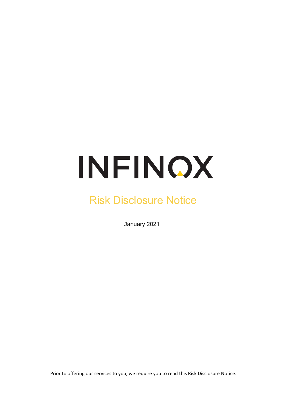# INFINOX

# Risk Disclosure Notice

January 2021

Prior to offering our services to you, we require you to read this Risk Disclosure Notice.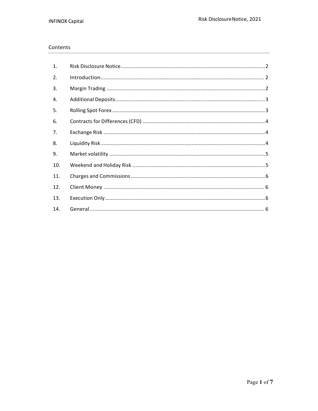#### Contents

| 1.  |  |
|-----|--|
| 2.  |  |
| 3.  |  |
| 4.  |  |
| 5.  |  |
| 6.  |  |
| 7.  |  |
| 8.  |  |
| 9.  |  |
| 10. |  |
| 11. |  |
| 12. |  |
| 13. |  |
| 14. |  |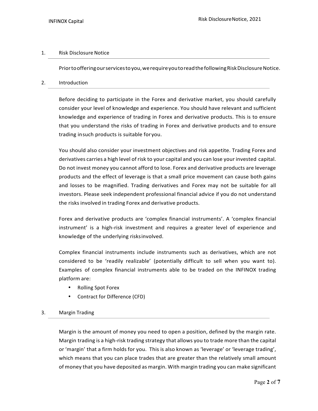### 1. Risk Disclosure Notice

Prior to offering our services to you, we require you to read the following Risk Disclosure Notice.

#### 2. Introduction

Before deciding to participate in the Forex and derivative market, you should carefully consider your level of knowledge and experience. You should have relevant and sufficient knowledge and experience of trading in Forex and derivative products. This is to ensure that you understand the risks of trading in Forex and derivative products and to ensure trading insuch products is suitable for you.

You should also consider your investment objectives and risk appetite. Trading Forex and derivatives carries a high level of risk to your capital and you can lose your invested capital. Do not invest money you cannot afford to lose. Forex and derivative products are leverage products and the effect of leverage is that a small price movement can cause both gains and losses to be magnified. Trading derivatives and Forex may not be suitable for all investors. Please seek independent professional financial advice if you do not understand the risks involved in trading Forex and derivative products.

Forex and derivative products are 'complex financial instruments'. A 'complex financial instrument' is a high-risk investment and requires a greater level of experience and knowledge of the underlying risksinvolved.

Complex financial instruments include instruments such as derivatives, which are not considered to be 'readily realizable' (potentially difficult to sell when you want to). Examples of complex financial instruments able to be traded on the INFINOX trading platform are:

- Rolling Spot Forex
- Contract for Difference (CFD)

# 3. Margin Trading

Margin is the amount of money you need to open a position, defined by the margin rate. Margin trading is a high-risk trading strategy that allows you to trade more than the capital or 'margin' that a firm holds for you. This is also known as 'leverage' or 'leverage trading', which means that you can place trades that are greater than the relatively small amount of money that you have deposited as margin. With margin trading you can make significant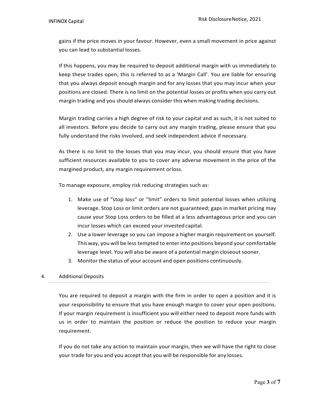gains if the price moves in your favour. However, even a small movement in price against you can lead to substantial losses.

If this happens, you may be required to deposit additional margin with us immediately to keep these trades open; this is referred to as a 'Margin Call'. You are liable for ensuring that you always deposit enough margin and for any losses that you may incur when your positions are closed. There is no limit on the potential losses or profits when you carry out margin trading and you should always consider this when making trading decisions.

Margin trading carries a high degree of risk to your capital and as such, it is not suited to all investors. Before you decide to carry out any margin trading, please ensure that you fully understand the risks involved, and seek independent advice if necessary.

As there is no limit to the losses that you may incur, you should ensure that you have sufficient resources available to you to cover any adverse movement in the price of the margined product, any margin requirement orloss.

To manage exposure, employ risk reducing strategies such as:

- 1. Make use of "stop loss" or "limit" orders to limit potential losses when utilizing leverage. Stop Loss or limit orders are not guaranteed; gaps in market pricing may cause your Stop Loss orders to be filled at a less advantageous price and you can incur losses which can exceed your invested capital.
- 2. Use a lower leverage so you can impose a higher margin requirement on yourself. This way, you will be less tempted to enter into positions beyond your comfortable leverage level. You will also be aware of a potential margin closeout sooner.
- 3. Monitor the status of your account and open positions continuously.

#### 4. Additional Deposits

You are required to deposit a margin with the firm in order to open a position and it is your responsibility to ensure that you have enough margin to cover your open positions. If your margin requirement is insufficient you will either need to deposit more funds with us in order to maintain the position or reduce the position to reduce your margin requirement.

If you do not take any action to maintain your margin, then we will have the right to close your trade for you and you accept that you will be responsible for any losses.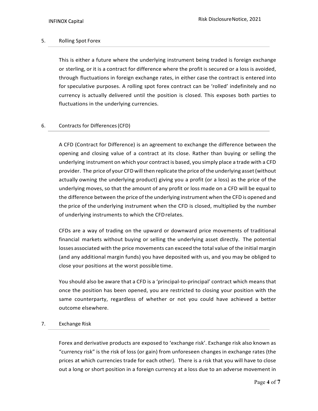### 5. Rolling Spot Forex

This is either a future where the underlying instrument being traded is foreign exchange or sterling, or it is a contract for difference where the profit is secured or a loss is avoided, through fluctuations in foreign exchange rates, in either case the contract is entered into for speculative purposes. A rolling spot forex contract can be 'rolled' indefinitely and no currency is actually delivered until the position is closed. This exposes both parties to fluctuations in the underlying currencies.

# 6. Contracts for Differences (CFD)

A CFD (Contract for Difference) is an agreement to exchange the difference between the opening and closing value of a contract at its close. Rather than buying or selling the underlying instrument on which your contract is based, you simply place a trade with a CFD provider. The price of your CFD will then replicate the price of the underlying asset (without actually owning the underlying product) giving you a profit (or a loss) as the price of the underlying moves, so that the amount of any profit or loss made on a CFD will be equal to the difference between the price of the underlying instrument when the CFD is opened and the price of the underlying instrument when the CFD is closed, multiplied by the number of underlying instruments to which the CFD relates.

CFDs are a way of trading on the upward or downward price movements of traditional financial markets without buying or selling the underlying asset directly. The potential losses associated with the price movements can exceed the total value of the initial margin (and any additional margin funds) you have deposited with us, and you may be obliged to close your positions at the worst possible time.

You should also be aware that a CFD is a 'principal-to-principal' contract which means that once the position has been opened, you are restricted to closing your position with the same counterparty, regardless of whether or not you could have achieved a better outcome elsewhere.

#### 7. Exchange Risk

Forex and derivative products are exposed to 'exchange risk'. Exchange risk also known as "currency risk" is the risk of loss (or gain) from unforeseen changes in exchange rates (the prices at which currencies trade for each other). There is a risk that you will have to close out a long or short position in a foreign currency at a loss due to an adverse movement in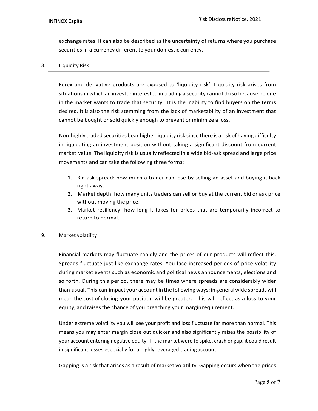exchange rates. It can also be described as the uncertainty of returns where you purchase securities in a currency different to your domestic currency.

#### 8. Liquidity Risk

Forex and derivative products are exposed to 'liquidity risk'. Liquidity risk arises from situations in which an investor interested in trading a security cannot do so because no one in the market wants to trade that security. It is the inability to find buyers on the terms desired. It is also the risk stemming from the lack of marketability of an investment that cannot be bought or sold quickly enough to prevent or minimize a loss.

Non-highly traded securities bear higher liquidity risk since there is a risk of having difficulty in liquidating an investment position without taking a significant discount from current market value. The liquidity risk is usually reflected in a wide bid-ask spread and large price movements and can take the following three forms:

- 1. Bid-ask spread: how much a trader can lose by selling an asset and buying it back right away.
- 2. Market depth: how many units traders can sell or buy at the current bid or ask price without moving the price.
- 3. Market resiliency: how long it takes for prices that are temporarily incorrect to return to normal.

#### 9. Market volatility

Financial markets may fluctuate rapidly and the prices of our products will reflect this. Spreads fluctuate just like exchange rates. You face increased periods of price volatility during market events such as economic and political news announcements, elections and so forth. During this period, there may be times where spreads are considerably wider than usual. This can impact your account in the following ways; in general wide spreads will mean the cost of closing your position will be greater. This will reflect as a loss to your equity, and raises the chance of you breaching your margin requirement.

Under extreme volatility you will see your profit and loss fluctuate far more than normal. This means you may enter margin close out quicker and also significantly raises the possibility of your account entering negative equity. If the market were to spike, crash or gap, it could result in significant losses especially for a highly-leveraged trading account.

Gapping is a risk that arises as a result of market volatility. Gapping occurs when the prices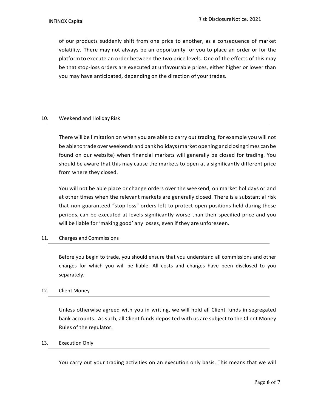of our products suddenly shift from one price to another, as a consequence of market volatility. There may not always be an opportunity for you to place an order or for the platform to execute an order between the two price levels. One of the effects of this may be that stop-loss orders are executed at unfavourable prices, either higher or lower than you may have anticipated, depending on the direction of your trades.

#### 10. Weekend and Holiday Risk

There will be limitation on when you are able to carry out trading, for example you will not be able to trade over weekends and bank holidays (market opening and closing times can be found on our website) when financial markets will generally be closed for trading. You should be aware that this may cause the markets to open at a significantly different price from where they closed.

You will not be able place or change orders over the weekend, on market holidays or and at other times when the relevant markets are generally closed. There is a substantial risk that non-guaranteed "stop-loss" orders left to protect open positions held during these periods, can be executed at levels significantly worse than their specified price and you will be liable for 'making good' any losses, even if they are unforeseen.

#### 11. Charges and Commissions

Before you begin to trade, you should ensure that you understand all commissions and other charges for which you will be liable. All costs and charges have been disclosed to you separately.

#### 12. Client Money

Unless otherwise agreed with you in writing, we will hold all Client funds in segregated bank accounts. As such, all Client funds deposited with us are subject to the Client Money Rules of the regulator.

#### 13. Execution Only

You carry out your trading activities on an execution only basis. This means that we will